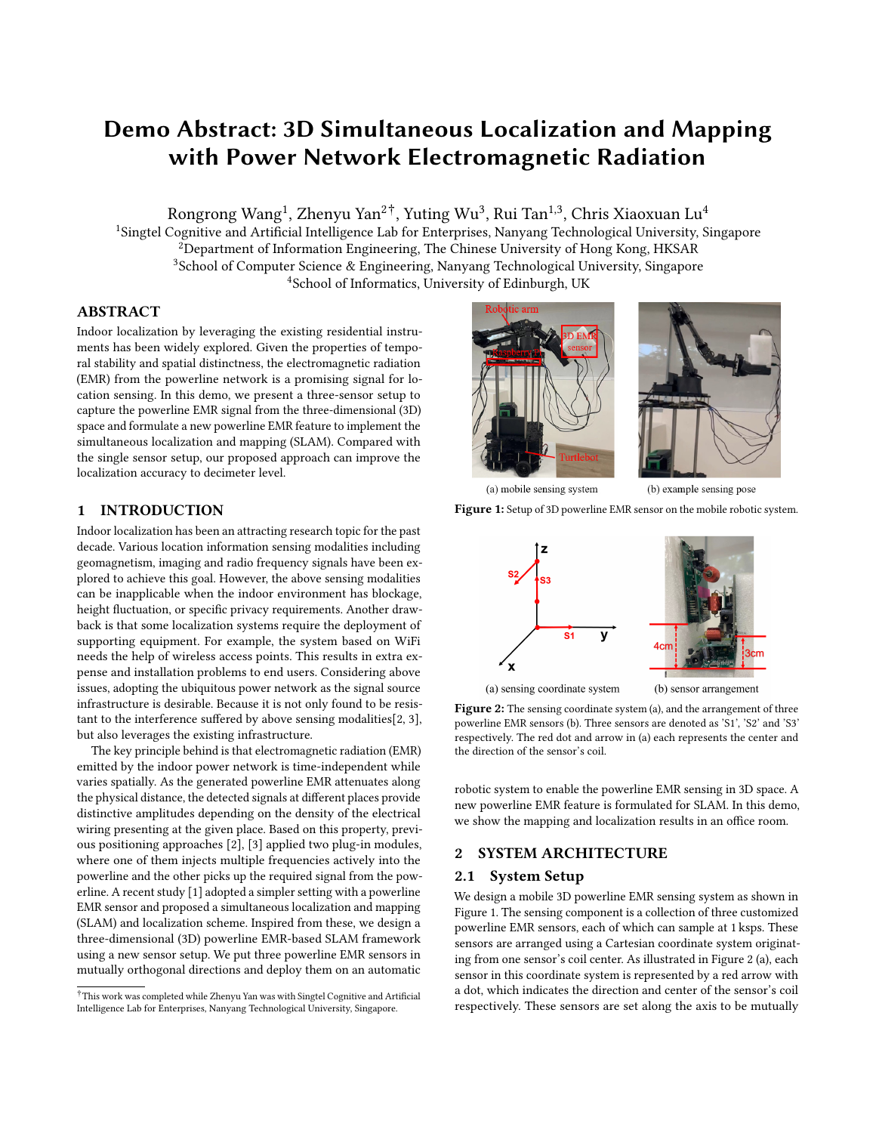# Demo Abstract: 3D Simultaneous Localization and Mapping with Power Network Electromagnetic Radiation

Rongrong Wang $^1$ , Zhenyu Yan $^{2\, \dagger}$ , Yuting Wu $^3$ , Rui Tan $^{1,3}$ , Chris Xiaoxuan Lu $^4$ 

<sup>1</sup>Singtel Cognitive and Artificial Intelligence Lab for Enterprises, Nanyang Technological University, Singapore <sup>2</sup>Department of Information Engineering, The Chinese University of Hong Kong, HKSAR <sup>3</sup>School of Computer Science & Engineering, Nanyang Technological University, Singapore <sup>4</sup>School of Informatics, University of Edinburgh, UK

## ABSTRACT

Indoor localization by leveraging the existing residential instruments has been widely explored. Given the properties of temporal stability and spatial distinctness, the electromagnetic radiation (EMR) from the powerline network is a promising signal for location sensing. In this demo, we present a three-sensor setup to capture the powerline EMR signal from the three-dimensional (3D) space and formulate a new powerline EMR feature to implement the simultaneous localization and mapping (SLAM). Compared with the single sensor setup, our proposed approach can improve the localization accuracy to decimeter level.

## 1 INTRODUCTION

Indoor localization has been an attracting research topic for the past decade. Various location information sensing modalities including geomagnetism, imaging and radio frequency signals have been explored to achieve this goal. However, the above sensing modalities can be inapplicable when the indoor environment has blockage, height fluctuation, or specific privacy requirements. Another drawback is that some localization systems require the deployment of supporting equipment. For example, the system based on WiFi needs the help of wireless access points. This results in extra expense and installation problems to end users. Considering above issues, adopting the ubiquitous power network as the signal source infrastructure is desirable. Because it is not only found to be resistant to the interference suffered by above sensing modalities[\[2,](#page-1-0) [3\]](#page-1-1), but also leverages the existing infrastructure.

The key principle behind is that electromagnetic radiation (EMR) emitted by the indoor power network is time-independent while varies spatially. As the generated powerline EMR attenuates along the physical distance, the detected signals at different places provide distinctive amplitudes depending on the density of the electrical wiring presenting at the given place. Based on this property, previous positioning approaches [\[2\]](#page-1-0), [\[3\]](#page-1-1) applied two plug-in modules, where one of them injects multiple frequencies actively into the powerline and the other picks up the required signal from the powerline. A recent study [\[1\]](#page-1-2) adopted a simpler setting with a powerline EMR sensor and proposed a simultaneous localization and mapping (SLAM) and localization scheme. Inspired from these, we design a three-dimensional (3D) powerline EMR-based SLAM framework using a new sensor setup. We put three powerline EMR sensors in mutually orthogonal directions and deploy them on an automatic

<span id="page-0-0"></span>



(b) example sensing pose



<span id="page-0-1"></span>

Figure 2: The sensing coordinate system (a), and the arrangement of three powerline EMR sensors (b). Three sensors are denoted as 'S1', 'S2' and 'S3' respectively. The red dot and arrow in (a) each represents the center and the direction of the sensor's coil.

robotic system to enable the powerline EMR sensing in 3D space. A new powerline EMR feature is formulated for SLAM. In this demo, we show the mapping and localization results in an office room.

#### 2 SYSTEM ARCHITECTURE

#### 2.1 System Setup

We design a mobile 3D powerline EMR sensing system as shown in Figure [1.](#page-0-0) The sensing component is a collection of three customized powerline EMR sensors, each of which can sample at 1 ksps. These sensors are arranged using a Cartesian coordinate system originating from one sensor's coil center. As illustrated in Figure [2](#page-0-1) (a), each sensor in this coordinate system is represented by a red arrow with a dot, which indicates the direction and center of the sensor's coil respectively. These sensors are set along the axis to be mutually

 $^\dagger$ This work was completed while Zhenyu Yan was with Singtel Cognitive and Artificial Intelligence Lab for Enterprises, Nanyang Technological University, Singapore.